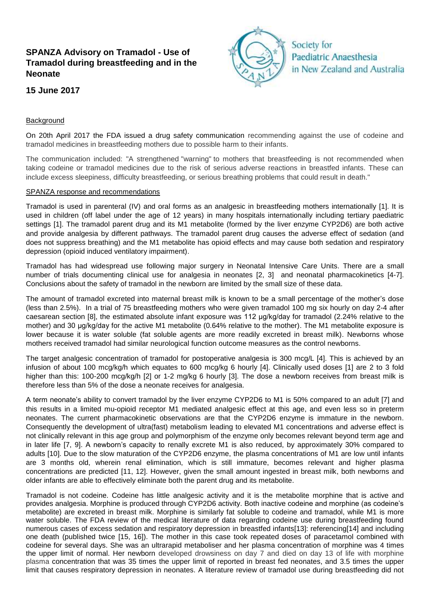# **SPANZA Advisory on Tramadol - Use of Tramadol during breastfeeding and in the Neonate**

# **15 June 2017**



### Background

On 20th April 2017 the FDA issued a drug safety communication recommending against the use of codeine and tramadol medicines in breastfeeding mothers due to possible harm to their infants.

The communication included: "A strengthened "warning" to mothers that breastfeeding is not recommended when taking codeine or tramadol medicines due to the risk of serious adverse reactions in breastfed infants. These can include excess sleepiness, difficulty breastfeeding, or serious breathing problems that could result in death."

#### SPANZA response and recommendations

Tramadol is used in parenteral (IV) and oral forms as an analgesic in breastfeeding mothers internationally [\[1\]](#page-2-0). It is used in children (off label under the age of 12 years) in many hospitals internationally including tertiary paediatric settings [\[1\]](#page-2-0). The tramadol parent drug and its M1 metabolite (formed by the liver enzyme CYP2D6) are both active and provide analgesia by different pathways. The tramadol parent drug causes the adverse effect of sedation (and does not suppress breathing) and the M1 metabolite has opioid effects and may cause both sedation and respiratory depression (opioid induced ventilatory impairment).

Tramadol has had widespread use following major surgery in Neonatal Intensive Care Units. There are a small number of trials documenting clinical use for analgesia in neonates [\[2,](#page-2-1) [3\]](#page-2-2) and neonatal pharmacokinetics [\[4-7\]](#page-2-3). Conclusions about the safety of tramadol in the newborn are limited by the small size of these data.

The amount of tramadol excreted into maternal breast milk is known to be a small percentage of the mother's dose (less than 2.5%). In a trial of 75 breastfeeding mothers who were given tramadol 100 mg six hourly on day 2-4 after caesarean section [\[8\]](#page-2-4), the estimated absolute infant exposure was 112 μg/kg/day for tramadol (2.24% relative to the mother) and 30 μg/kg/day for the active M1 metabolite (0.64% relative to the mother). The M1 metabolite exposure is lower because it is water soluble (fat soluble agents are more readily excreted in breast milk). Newborns whose mothers received tramadol had similar neurological function outcome measures as the control newborns.

The target analgesic concentration of tramadol for postoperative analgesia is 300 mcg/L [\[4\]](#page-2-3). This is achieved by an infusion of about 100 mcg/kg/h which equates to 600 mcg/kg 6 hourly [\[4\]](#page-2-3). Clinically used doses [\[1\]](#page-2-0) are 2 to 3 fold higher than this: 100-200 mcg/kg/h [\[2\]](#page-2-1) or 1-2 mg/kg 6 hourly [\[3\]](#page-2-2). The dose a newborn receives from breast milk is therefore less than 5% of the dose a neonate receives for analgesia.

A term neonate's ability to convert tramadol by the liver enzyme CYP2D6 to M1 is 50% compared to an adult [\[7\]](#page-2-5) and this results in a limited mu-opioid receptor M1 mediated analgesic effect at this age, and even less so in preterm neonates. The current pharmacokinetic observations are that the CYP2D6 enzyme is immature in the newborn. Consequently the development of ultra(fast) metabolism leading to elevated M1 concentrations and adverse effect is not clinically relevant in this age group and polymorphism of the enzyme only becomes relevant beyond term age and in later life [\[7,](#page-2-5) [9\]](#page-2-6). A newborn's capacity to renally excrete M1 is also reduced, by approximately 30% compared to adults [\[10\]](#page-2-7). Due to the slow maturation of the CYP2D6 enzyme, the plasma concentrations of M1 are low until infants are 3 months old, wherein renal elimination, which is still immature, becomes relevant and higher plasma concentrations are predicted [\[11,](#page-2-8) [12\]](#page-2-9). However, given the small amount ingested in breast milk, both newborns and older infants are able to effectively eliminate both the parent drug and its metabolite.

Tramadol is not codeine. Codeine has little analgesic activity and it is the metabolite morphine that is active and provides analgesia. Morphine is produced through CYP2D6 activity. Both inactive codeine and morphine (as codeine's metabolite) are excreted in breast milk. Morphine is similarly fat soluble to codeine and tramadol, while M1 is more water soluble. The FDA review of the medical literature of data regarding codeine use during breastfeeding found numerous cases of excess sedation and respiratory depression in breastfed infants[\[13\]](#page-2-10): referencing[\[14\]](#page-2-11) and including one death (published twice [\[15,](#page-2-12) [16\]](#page-2-13)). The mother in this case took repeated doses of paracetamol combined with codeine for several days. She was an ultrarapid metaboliser and her plasma concentration of morphine was 4 times the upper limit of normal. Her newborn developed drowsiness on day 7 and died on day 13 of life with morphine plasma concentration that was 35 times the upper limit of reported in breast fed neonates, and 3.5 times the upper limit that causes respiratory depression in neonates. A literature review of tramadol use during breastfeeding did not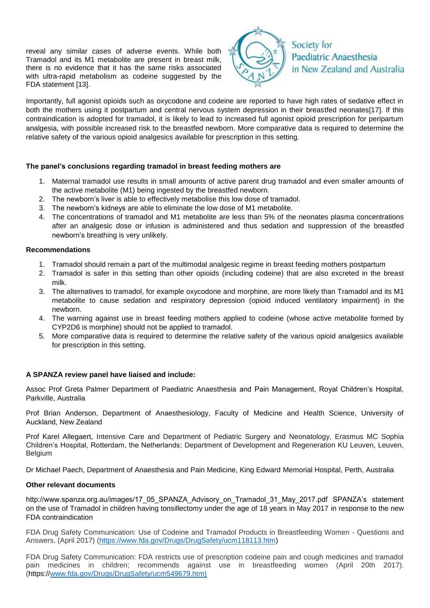reveal any similar cases of adverse events. While both Tramadol and its M1 metabolite are present in breast milk, there is no evidence that it has the same risks associated with ultra-rapid metabolism as codeine suggested by the FDA statement [\[13\]](#page-2-10).



Importantly, full agonist opioids such as oxycodone and codeine are reported to have high rates of sedative effect in both the mothers using it postpartum and central nervous system depression in their breastfed neonates[\[17\]](#page-2-14). If this contraindication is adopted for tramadol, it is likely to lead to increased full agonist opioid prescription for peripartum analgesia, with possible increased risk to the breastfed newborn. More comparative data is required to determine the relative safety of the various opioid analgesics available for prescription in this setting.

# **The panel's conclusions regarding tramadol in breast feeding mothers are**

- 1. Maternal tramadol use results in small amounts of active parent drug tramadol and even smaller amounts of the active metabolite (M1) being ingested by the breastfed newborn.
- 2. The newborn's liver is able to effectively metabolise this low dose of tramadol.
- 3. The newborn's kidneys are able to eliminate the low dose of M1 metabolite.
- 4. The concentrations of tramadol and M1 metabolite are less than 5% of the neonates plasma concentrations after an analgesic dose or infusion is administered and thus sedation and suppression of the breastfed newborn's breathing is very unlikely.

### **Recommendations**

- 1. Tramadol should remain a part of the multimodal analgesic regime in breast feeding mothers postpartum
- 2. Tramadol is safer in this setting than other opioids (including codeine) that are also excreted in the breast milk.
- 3. The alternatives to tramadol, for example oxycodone and morphine, are more likely than Tramadol and its M1 metabolite to cause sedation and respiratory depression (opioid induced ventilatory impairment) in the newborn.
- 4. The warning against use in breast feeding mothers applied to codeine (whose active metabolite formed by CYP2D6 is morphine) should not be applied to tramadol.
- 5. More comparative data is required to determine the relative safety of the various opioid analgesics available for prescription in this setting.

# **A SPANZA review panel have liaised and include:**

Assoc Prof Greta Palmer Department of Paediatric Anaesthesia and Pain Management, Royal Children's Hospital, Parkville, Australia

Prof Brian Anderson, Department of Anaesthesiology, Faculty of Medicine and Health Science, University of Auckland, New Zealand

Prof Karel Allegaert, Intensive Care and Department of Pediatric Surgery and Neonatology, Erasmus MC Sophia Children's Hospital, Rotterdam, the Netherlands; Department of Development and Regeneration KU Leuven, Leuven, Belgium

Dr Michael Paech, Department of Anaesthesia and Pain Medicine, King Edward Memorial Hospital, Perth, Australia

#### **Other relevant documents**

http://www.spanza.org.au/images/17\_05\_SPANZA\_Advisory\_on\_Tramadol\_31\_May\_2017.pdf SPANZA's statement on the use of Tramadol in children having tonsillectomy under the age of 18 years in May 2017 in response to the new FDA contraindication

FDA Drug Safety Communication: Use of Codeine and Tramadol Products in Breastfeeding Women - Questions and Answers. (April 2017) [\(https://www.fda.gov/Drugs/DrugSafety/ucm118113.htm\)](https://www.fda.gov/Drugs/DrugSafety/ucm118113.htm)

FDA Drug Safety Communication: FDA restricts use of prescription codeine pain and cough medicines and tramadol pain medicines in children; recommends against use in breastfeeding women (April 20th 2017). (https:/[/www.fda.gov/Drugs/DrugSafety/ucm549679.htm\)](http://www.fda.gov/Drugs/DrugSafety/ucm549679.htm))